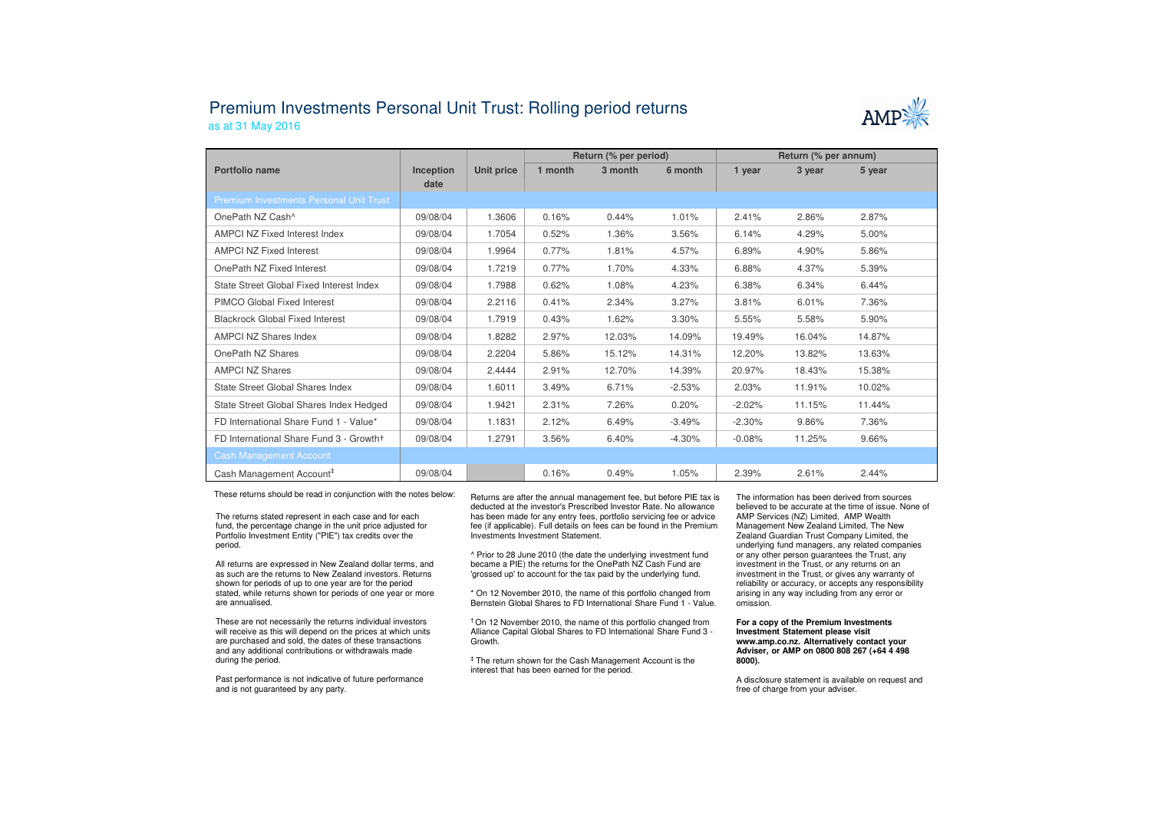## Premium Investments Personal Unit Trust: Rolling period returnsas at 31 May 2016



|                                                |                   |            | Return (% per period) |         |          | Return (% per annum) |        |        |
|------------------------------------------------|-------------------|------------|-----------------------|---------|----------|----------------------|--------|--------|
| Portfolio name                                 | Inception<br>date | Unit price | 1 month               | 3 month | 6 month  | 1 year               | 3 year | 5 year |
| <b>Premium Investments Personal Unit Trust</b> |                   |            |                       |         |          |                      |        |        |
| OnePath NZ Cash^                               | 09/08/04          | 1.3606     | 0.16%                 | 0.44%   | 1.01%    | 2.41%                | 2.86%  | 2.87%  |
| <b>AMPCI NZ Fixed Interest Index</b>           | 09/08/04          | 1.7054     | 0.52%                 | 1.36%   | 3.56%    | 6.14%                | 4.29%  | 5.00%  |
| <b>AMPCI NZ Fixed Interest</b>                 | 09/08/04          | 1.9964     | 0.77%                 | 1.81%   | 4.57%    | 6.89%                | 4.90%  | 5.86%  |
| OnePath NZ Fixed Interest                      | 09/08/04          | 1.7219     | 0.77%                 | 1.70%   | 4.33%    | 6.88%                | 4.37%  | 5.39%  |
| State Street Global Fixed Interest Index       | 09/08/04          | 1.7988     | 0.62%                 | 1.08%   | 4.23%    | 6.38%                | 6.34%  | 6.44%  |
| PIMCO Global Fixed Interest                    | 09/08/04          | 2.2116     | 0.41%                 | 2.34%   | 3.27%    | 3.81%                | 6.01%  | 7.36%  |
| <b>Blackrock Global Fixed Interest</b>         | 09/08/04          | 1.7919     | 0.43%                 | 1.62%   | 3.30%    | 5.55%                | 5.58%  | 5.90%  |
| <b>AMPCI NZ Shares Index</b>                   | 09/08/04          | 1.8282     | 2.97%                 | 12.03%  | 14.09%   | 19.49%               | 16.04% | 14.87% |
| OnePath NZ Shares                              | 09/08/04          | 2.2204     | 5.86%                 | 15.12%  | 14.31%   | 12.20%               | 13.82% | 13.63% |
| <b>AMPCI NZ Shares</b>                         | 09/08/04          | 2.4444     | 2.91%                 | 12.70%  | 14.39%   | 20.97%               | 18.43% | 15.38% |
| State Street Global Shares Index               | 09/08/04          | 1.6011     | 3.49%                 | 6.71%   | $-2.53%$ | 2.03%                | 11.91% | 10.02% |
| State Street Global Shares Index Hedged        | 09/08/04          | 1.9421     | 2.31%                 | 7.26%   | 0.20%    | $-2.02%$             | 11.15% | 11.44% |
| FD International Share Fund 1 - Value*         | 09/08/04          | 1.1831     | 2.12%                 | 6.49%   | $-3.49%$ | $-2.30%$             | 9.86%  | 7.36%  |
| FD International Share Fund 3 - Growth+        | 09/08/04          | 1.2791     | 3.56%                 | 6.40%   | $-4.30%$ | $-0.08%$             | 11.25% | 9.66%  |
| <b>Cash Management Account</b>                 |                   |            |                       |         |          |                      |        |        |
| Cash Management Account <sup>#</sup>           | 09/08/04          |            | 0.16%                 | 0.49%   | 1.05%    | 2.39%                | 2.61%  | 2.44%  |

These returns should be read in conjunction with the notes below:

The returns stated represent in each case and for each fund, the percentage change in the unit price adjusted for Portfolio Investment Entity ("PIE") tax credits over the period.

All returns are expressed in New Zealand dollar terms, and as such are the returns to New Zealand investors. Returns shown for periods of up to one year are for the period stated, while returns shown for periods of one year or more are annualised.

These are not necessarily the returns individual investors will receive as this will depend on the prices at which units are purchased and sold, the dates of these transactions and any additional contributions or withdrawals made during the period.

Past performance is not indicative of future performance and is not guaranteed by any party.

 Returns are after the annual management fee, but before PIE tax is deducted at the investor's Prescribed Investor Rate. No allowance has been made for any entry fees, portfolio servicing fee or advice fee (if applicable). Full details on fees can be found in the Premium Investments Investment Statement.

^ Prior to 28 June 2010 (the date the underlying investment fund became a PIE) the returns for the OnePath NZ Cash Fund are 'grossed up' to account for the tax paid by the underlying fund.

\* On 12 November 2010, the name of this portfolio changed from Bernstein Global Shares to FD International Share Fund 1 - Value.

† On 12 November 2010, the name of this portfolio changed from Alliance Capital Global Shares to FD International Share Fund 3 -Growth.

‡ The return shown for the Cash Management Account is the interest that has been earned for the period.

The information has been derived from sources believed to be accurate at the time of issue. None of AMP Services (NZ) Limited, AMP Wealth Management New Zealand Limited, The New Zealand Guardian Trust Company Limited, the underlying fund managers, any related companies or any other person guarantees the Trust, any investment in the Trust, or any returns on an investment in the Trust, or gives any warranty of reliability or accuracy, or accepts any responsibility arising in any way including from any error or omission.

## **For a copy of the Premium Investments Investment Statement please visit www.amp.co.nz. Alternatively contact your Adviser, or AMP on 0800 808 267 (+64 4 498 8000).**

A disclosure statement is available on request and free of charge from your adviser.